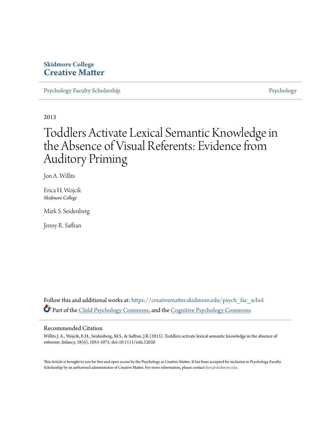# **Skidmore College [Creative Matter](https://creativematter.skidmore.edu?utm_source=creativematter.skidmore.edu%2Fpsych_fac_schol%2F6&utm_medium=PDF&utm_campaign=PDFCoverPages)**

[Psychology Faculty Scholarship](https://creativematter.skidmore.edu/psych_fac_schol?utm_source=creativematter.skidmore.edu%2Fpsych_fac_schol%2F6&utm_medium=PDF&utm_campaign=PDFCoverPages) [Psychology](https://creativematter.skidmore.edu/psych?utm_source=creativematter.skidmore.edu%2Fpsych_fac_schol%2F6&utm_medium=PDF&utm_campaign=PDFCoverPages) Psychology

2013

# Toddlers Activate Lexical Semantic Knowledge in the Absence of Visual Referents: Evidence from Auditory Priming

Jon A. Willits

Erica H. Wojcik *Skidmore College*

Mark S. Seidenberg

Jenny R. Saffran

Follow this and additional works at: [https://creativematter.skidmore.edu/psych\\_fac\\_schol](https://creativematter.skidmore.edu/psych_fac_schol?utm_source=creativematter.skidmore.edu%2Fpsych_fac_schol%2F6&utm_medium=PDF&utm_campaign=PDFCoverPages) Part of the [Child Psychology Commons](http://network.bepress.com/hgg/discipline/1023?utm_source=creativematter.skidmore.edu%2Fpsych_fac_schol%2F6&utm_medium=PDF&utm_campaign=PDFCoverPages), and the [Cognitive Psychology Commons](http://network.bepress.com/hgg/discipline/408?utm_source=creativematter.skidmore.edu%2Fpsych_fac_schol%2F6&utm_medium=PDF&utm_campaign=PDFCoverPages)

# Recommended Citation

Willits J. A., Wojcik, E.H., Seidenberg, M.S., & Saffran, J.R (2013). Toddlers activate lexical semantic knowledge in the absence of referents. Infancy. 18(6), 1053-1075. doi:10.1111/infa.12026

This Article is brought to you for free and open access by the Psychology at Creative Matter. It has been accepted for inclusion in Psychology Faculty Scholarship by an authorized administrator of Creative Matter. For more information, please contact [jluo@skidmore.edu](mailto:jluo@skidmore.edu).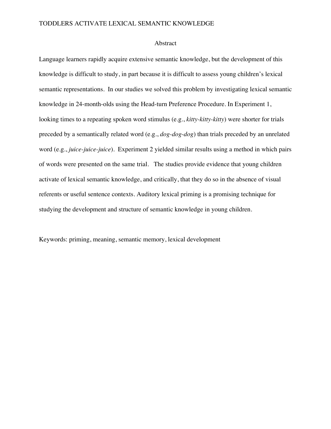# TODDLERS ACTIVATE LEXICAL SEMANTIC KNOWLEDGE

# Abstract

Language learners rapidly acquire extensive semantic knowledge, but the development of this knowledge is difficult to study, in part because it is difficult to assess young children's lexical semantic representations. In our studies we solved this problem by investigating lexical semantic knowledge in 24-month-olds using the Head-turn Preference Procedure. In Experiment 1, looking times to a repeating spoken word stimulus (e.g., *kitty-kitty-kitty*) were shorter for trials preceded by a semantically related word (e.g., *dog-dog-dog*) than trials preceded by an unrelated word (e.g., *juice-juice-juice*). Experiment 2 yielded similar results using a method in which pairs of words were presented on the same trial. The studies provide evidence that young children activate of lexical semantic knowledge, and critically, that they do so in the absence of visual referents or useful sentence contexts. Auditory lexical priming is a promising technique for studying the development and structure of semantic knowledge in young children.

Keywords: priming, meaning, semantic memory, lexical development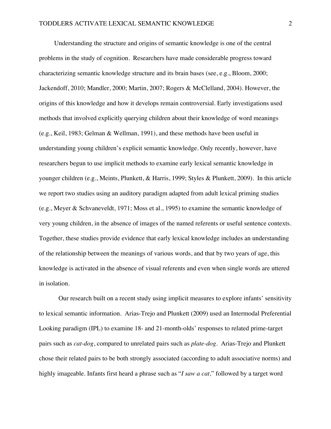Understanding the structure and origins of semantic knowledge is one of the central problems in the study of cognition. Researchers have made considerable progress toward characterizing semantic knowledge structure and its brain bases (see, e.g., Bloom, 2000; Jackendoff, 2010; Mandler, 2000; Martin, 2007; Rogers & McClelland, 2004). However, the origins of this knowledge and how it develops remain controversial. Early investigations used methods that involved explicitly querying children about their knowledge of word meanings (e.g., Keil, 1983; Gelman & Wellman, 1991), and these methods have been useful in understanding young children's explicit semantic knowledge. Only recently, however, have researchers begun to use implicit methods to examine early lexical semantic knowledge in younger children (e.g., Meints, Plunkett, & Harris, 1999; Styles & Plunkett, 2009). In this article we report two studies using an auditory paradigm adapted from adult lexical priming studies (e.g., Meyer & Schvaneveldt, 1971; Moss et al., 1995) to examine the semantic knowledge of very young children, in the absence of images of the named referents or useful sentence contexts. Together, these studies provide evidence that early lexical knowledge includes an understanding of the relationship between the meanings of various words, and that by two years of age, this knowledge is activated in the absence of visual referents and even when single words are uttered in isolation.

Our research built on a recent study using implicit measures to explore infants' sensitivity to lexical semantic information. Arias-Trejo and Plunkett (2009) used an Intermodal Preferential Looking paradigm (IPL) to examine 18- and 21-month-olds' responses to related prime-target pairs such as *cat-dog*, compared to unrelated pairs such as *plate-dog.* Arias-Trejo and Plunkett chose their related pairs to be both strongly associated (according to adult associative norms) and highly imageable. Infants first heard a phrase such as "*I saw a cat,*" followed by a target word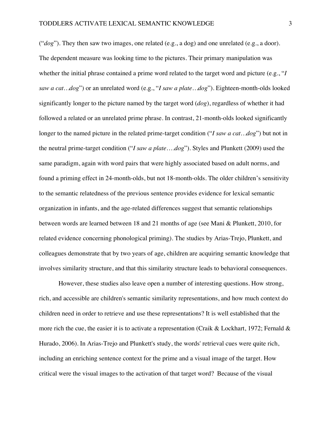("*dog*"). They then saw two images, one related (e.g., a dog) and one unrelated (e.g., a door). The dependent measure was looking time to the pictures. Their primary manipulation was whether the initial phrase contained a prime word related to the target word and picture (e.g., "*I saw a cat…dog*") or an unrelated word (e.g., "*I saw a plate…dog*"). Eighteen-month-olds looked significantly longer to the picture named by the target word (*dog*), regardless of whether it had followed a related or an unrelated prime phrase. In contrast, 21-month-olds looked significantly longer to the named picture in the related prime-target condition ("*I saw a cat…dog*") but not in the neutral prime-target condition ("*I saw a plate*….*dog*"). Styles and Plunkett (2009) used the same paradigm, again with word pairs that were highly associated based on adult norms, and found a priming effect in 24-month-olds, but not 18-month-olds. The older children's sensitivity to the semantic relatedness of the previous sentence provides evidence for lexical semantic organization in infants, and the age-related differences suggest that semantic relationships between words are learned between 18 and 21 months of age (see Mani & Plunkett, 2010, for related evidence concerning phonological priming). The studies by Arias-Trejo, Plunkett, and colleagues demonstrate that by two years of age, children are acquiring semantic knowledge that involves similarity structure, and that this similarity structure leads to behavioral consequences.

However, these studies also leave open a number of interesting questions. How strong, rich, and accessible are children's semantic similarity representations, and how much context do children need in order to retrieve and use these representations? It is well established that the more rich the cue, the easier it is to activate a representation (Craik & Lockhart, 1972; Fernald & Hurado, 2006). In Arias-Trejo and Plunkett's study, the words' retrieval cues were quite rich, including an enriching sentence context for the prime and a visual image of the target. How critical were the visual images to the activation of that target word? Because of the visual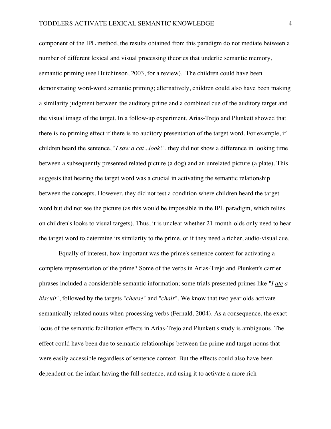component of the IPL method, the results obtained from this paradigm do not mediate between a number of different lexical and visual processing theories that underlie semantic memory, semantic priming (see Hutchinson, 2003, for a review). The children could have been demonstrating word-word semantic priming; alternatively, children could also have been making a similarity judgment between the auditory prime and a combined cue of the auditory target and the visual image of the target. In a follow-up experiment, Arias-Trejo and Plunkett showed that there is no priming effect if there is no auditory presentation of the target word. For example, if children heard the sentence, "*I saw a cat...look*!", they did not show a difference in looking time between a subsequently presented related picture (a dog) and an unrelated picture (a plate). This suggests that hearing the target word was a crucial in activating the semantic relationship between the concepts. However, they did not test a condition where children heard the target word but did not see the picture (as this would be impossible in the IPL paradigm, which relies on children's looks to visual targets). Thus, it is unclear whether 21-month-olds only need to hear the target word to determine its similarity to the prime, or if they need a richer, audio-visual cue.

Equally of interest, how important was the prime's sentence context for activating a complete representation of the prime? Some of the verbs in Arias-Trejo and Plunkett's carrier phrases included a considerable semantic information; some trials presented primes like "*I ate a biscuit*", followed by the targets "*cheese*" and "*chair*". We know that two year olds activate semantically related nouns when processing verbs (Fernald, 2004). As a consequence, the exact locus of the semantic facilitation effects in Arias-Trejo and Plunkett's study is ambiguous. The effect could have been due to semantic relationships between the prime and target nouns that were easily accessible regardless of sentence context. But the effects could also have been dependent on the infant having the full sentence, and using it to activate a more rich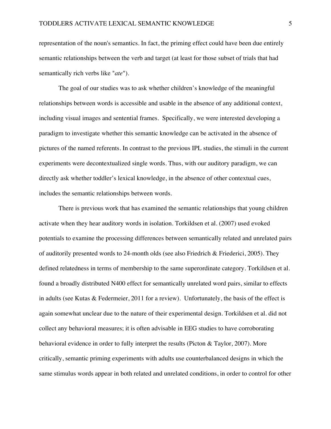representation of the noun's semantics. In fact, the priming effect could have been due entirely semantic relationships between the verb and target (at least for those subset of trials that had semantically rich verbs like "*ate*").

The goal of our studies was to ask whether children's knowledge of the meaningful relationships between words is accessible and usable in the absence of any additional context, including visual images and sentential frames. Specifically, we were interested developing a paradigm to investigate whether this semantic knowledge can be activated in the absence of pictures of the named referents. In contrast to the previous IPL studies, the stimuli in the current experiments were decontextualized single words. Thus, with our auditory paradigm, we can directly ask whether toddler's lexical knowledge, in the absence of other contextual cues, includes the semantic relationships between words.

There is previous work that has examined the semantic relationships that young children activate when they hear auditory words in isolation. Torkildsen et al. (2007) used evoked potentials to examine the processing differences between semantically related and unrelated pairs of auditorily presented words to 24-month olds (see also Friedrich & Friederici, 2005). They defined relatedness in terms of membership to the same superordinate category. Torkildsen et al. found a broadly distributed N400 effect for semantically unrelated word pairs, similar to effects in adults (see Kutas & Federmeier, 2011 for a review). Unfortunately, the basis of the effect is again somewhat unclear due to the nature of their experimental design. Torkildsen et al. did not collect any behavioral measures; it is often advisable in EEG studies to have corroborating behavioral evidence in order to fully interpret the results (Picton & Taylor, 2007). More critically, semantic priming experiments with adults use counterbalanced designs in which the same stimulus words appear in both related and unrelated conditions, in order to control for other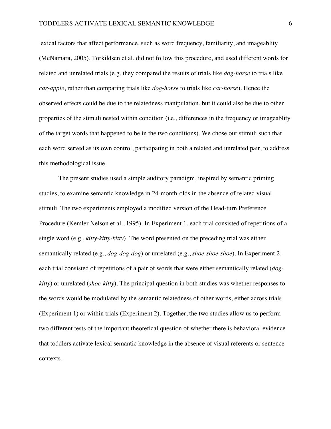lexical factors that affect performance, such as word frequency, familiarity, and imageablity (McNamara, 2005). Torkildsen et al. did not follow this procedure, and used different words for related and unrelated trials (e.g. they compared the results of trials like *dog-horse* to trials like *car-apple*, rather than comparing trials like *dog*-*horse* to trials like *car*-*horse*). Hence the observed effects could be due to the relatedness manipulation, but it could also be due to other properties of the stimuli nested within condition (i.e., differences in the frequency or imageablity of the target words that happened to be in the two conditions). We chose our stimuli such that each word served as its own control, participating in both a related and unrelated pair, to address this methodological issue.

The present studies used a simple auditory paradigm, inspired by semantic priming studies, to examine semantic knowledge in 24-month-olds in the absence of related visual stimuli. The two experiments employed a modified version of the Head-turn Preference Procedure (Kemler Nelson et al., 1995). In Experiment 1, each trial consisted of repetitions of a single word (e.g., *kitty-kitty-kitty*). The word presented on the preceding trial was either semantically related (e.g., *dog-dog-dog*) or unrelated (e.g., *shoe-shoe-shoe*). In Experiment 2, each trial consisted of repetitions of a pair of words that were either semantically related (*dogkitty*) or unrelated (*shoe-kitty*). The principal question in both studies was whether responses to the words would be modulated by the semantic relatedness of other words, either across trials (Experiment 1) or within trials (Experiment 2). Together, the two studies allow us to perform two different tests of the important theoretical question of whether there is behavioral evidence that toddlers activate lexical semantic knowledge in the absence of visual referents or sentence contexts.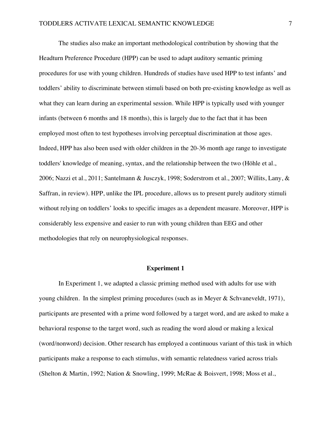The studies also make an important methodological contribution by showing that the Headturn Preference Procedure (HPP) can be used to adapt auditory semantic priming procedures for use with young children. Hundreds of studies have used HPP to test infants' and toddlers' ability to discriminate between stimuli based on both pre-existing knowledge as well as what they can learn during an experimental session. While HPP is typically used with younger infants (between 6 months and 18 months), this is largely due to the fact that it has been employed most often to test hypotheses involving perceptual discrimination at those ages. Indeed, HPP has also been used with older children in the 20-36 month age range to investigate toddlers' knowledge of meaning, syntax, and the relationship between the two (Höhle et al., 2006; Nazzi et al., 2011; Santelmann & Jusczyk, 1998; Soderstrom et al., 2007; Willits, Lany, & Saffran, in review). HPP, unlike the IPL procedure, allows us to present purely auditory stimuli without relying on toddlers' looks to specific images as a dependent measure. Moreover, HPP is considerably less expensive and easier to run with young children than EEG and other methodologies that rely on neurophysiological responses.

## **Experiment 1**

In Experiment 1, we adapted a classic priming method used with adults for use with young children. In the simplest priming procedures (such as in Meyer & Schvaneveldt, 1971), participants are presented with a prime word followed by a target word, and are asked to make a behavioral response to the target word, such as reading the word aloud or making a lexical (word/nonword) decision. Other research has employed a continuous variant of this task in which participants make a response to each stimulus, with semantic relatedness varied across trials (Shelton & Martin, 1992; Nation & Snowling, 1999; McRae & Boisvert, 1998; Moss et al.,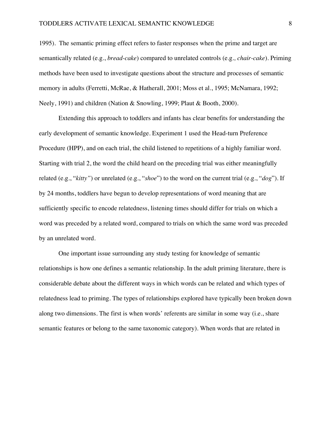1995). The semantic priming effect refers to faster responses when the prime and target are semantically related (e.g., *bread-cake*) compared to unrelated controls (e.g*., chair-cake*). Priming methods have been used to investigate questions about the structure and processes of semantic memory in adults (Ferretti, McRae, & Hatherall, 2001; Moss et al., 1995; McNamara, 1992; Neely, 1991) and children (Nation & Snowling, 1999; Plaut & Booth, 2000).

Extending this approach to toddlers and infants has clear benefits for understanding the early development of semantic knowledge. Experiment 1 used the Head-turn Preference Procedure (HPP), and on each trial, the child listened to repetitions of a highly familiar word. Starting with trial 2, the word the child heard on the preceding trial was either meaningfully related (e.g., "*kitty"*) or unrelated (e.g., "*shoe*") to the word on the current trial (e.g., "*dog*"). If by 24 months, toddlers have begun to develop representations of word meaning that are sufficiently specific to encode relatedness, listening times should differ for trials on which a word was preceded by a related word, compared to trials on which the same word was preceded by an unrelated word.

One important issue surrounding any study testing for knowledge of semantic relationships is how one defines a semantic relationship. In the adult priming literature, there is considerable debate about the different ways in which words can be related and which types of relatedness lead to priming. The types of relationships explored have typically been broken down along two dimensions. The first is when words' referents are similar in some way (i.e., share semantic features or belong to the same taxonomic category). When words that are related in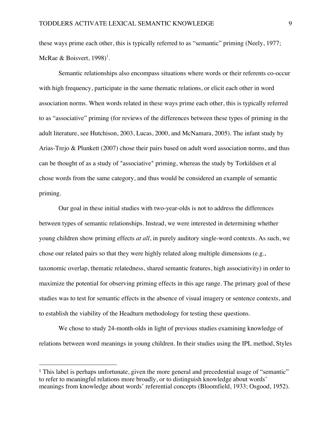these ways prime each other, this is typically referred to as "semantic" priming (Neely, 1977; McRae & Boisvert, 1998)<sup>1</sup>.

Semantic relationships also encompass situations where words or their referents co-occur with high frequency, participate in the same thematic relations, or elicit each other in word association norms. When words related in these ways prime each other, this is typically referred to as "associative" priming (for reviews of the differences between these types of priming in the adult literature, see Hutchison, 2003, Lucas, 2000, and McNamara, 2005). The infant study by Arias-Trejo & Plunkett (2007) chose their pairs based on adult word association norms, and thus can be thought of as a study of "associative" priming, whereas the study by Torkildsen et al chose words from the same category, and thus would be considered an example of semantic priming.

Our goal in these initial studies with two-year-olds is not to address the differences between types of semantic relationships. Instead, we were interested in determining whether young children show priming effects *at all*, in purely auditory single-word contexts. As such, we chose our related pairs so that they were highly related along multiple dimensions (e.g., taxonomic overlap, thematic relatedness, shared semantic features, high associativity) in order to maximize the potential for observing priming effects in this age range. The primary goal of these studies was to test for semantic effects in the absence of visual imagery or sentence contexts, and to establish the viability of the Headturn methodology for testing these questions.

We chose to study 24-month-olds in light of previous studies examining knowledge of relations between word meanings in young children. In their studies using the IPL method, Styles

 

<sup>1</sup> This label is perhaps unfortunate, given the more general and precedential usage of "semantic" to refer to meaningful relations more broadly, or to distinguish knowledge about words' meanings from knowledge about words' referential concepts (Bloomfield, 1933; Osgood, 1952).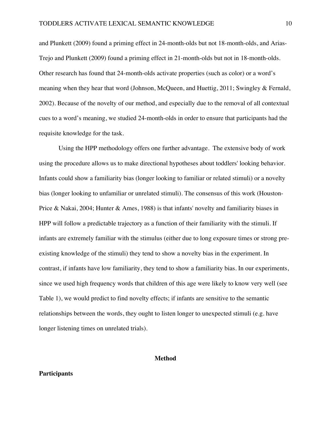and Plunkett (2009) found a priming effect in 24-month-olds but not 18-month-olds, and Arias-Trejo and Plunkett (2009) found a priming effect in 21-month-olds but not in 18-month-olds. Other research has found that 24-month-olds activate properties (such as color) or a word's meaning when they hear that word (Johnson, McQueen, and Huettig, 2011; Swingley & Fernald, 2002). Because of the novelty of our method, and especially due to the removal of all contextual cues to a word's meaning, we studied 24-month-olds in order to ensure that participants had the requisite knowledge for the task.

Using the HPP methodology offers one further advantage. The extensive body of work using the procedure allows us to make directional hypotheses about toddlers' looking behavior. Infants could show a familiarity bias (longer looking to familiar or related stimuli) or a novelty bias (longer looking to unfamiliar or unrelated stimuli). The consensus of this work (Houston-Price & Nakai, 2004; Hunter & Ames, 1988) is that infants' novelty and familiarity biases in HPP will follow a predictable trajectory as a function of their familiarity with the stimuli. If infants are extremely familiar with the stimulus (either due to long exposure times or strong preexisting knowledge of the stimuli) they tend to show a novelty bias in the experiment. In contrast, if infants have low familiarity, they tend to show a familiarity bias. In our experiments, since we used high frequency words that children of this age were likely to know very well (see Table 1), we would predict to find novelty effects; if infants are sensitive to the semantic relationships between the words, they ought to listen longer to unexpected stimuli (e.g. have longer listening times on unrelated trials).

# **Method**

#### **Participants**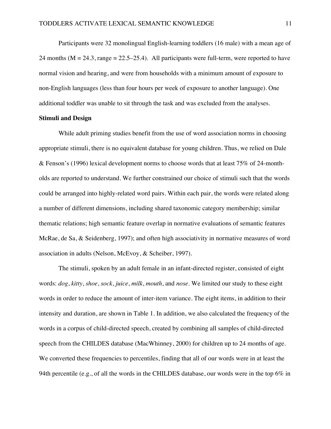Participants were 32 monolingual English-learning toddlers (16 male) with a mean age of 24 months ( $M = 24.3$ , range = 22.5–25.4). All participants were full-term, were reported to have normal vision and hearing, and were from households with a minimum amount of exposure to non-English languages (less than four hours per week of exposure to another language). One additional toddler was unable to sit through the task and was excluded from the analyses.

## **Stimuli and Design**

While adult priming studies benefit from the use of word association norms in choosing appropriate stimuli, there is no equivalent database for young children. Thus, we relied on Dale & Fenson's (1996) lexical development norms to choose words that at least 75% of 24-montholds are reported to understand. We further constrained our choice of stimuli such that the words could be arranged into highly-related word pairs. Within each pair, the words were related along a number of different dimensions, including shared taxonomic category membership; similar thematic relations; high semantic feature overlap in normative evaluations of semantic features McRae, de Sa, & Seidenberg, 1997); and often high associativity in normative measures of word association in adults (Nelson, McEvoy, & Scheiber, 1997).

The stimuli, spoken by an adult female in an infant-directed register, consisted of eight words: *dog*, *kitty*, *shoe*, *sock*, *juice*, *milk*, *mouth*, and *nose*. We limited our study to these eight words in order to reduce the amount of inter-item variance. The eight items, in addition to their intensity and duration, are shown in Table 1. In addition, we also calculated the frequency of the words in a corpus of child-directed speech, created by combining all samples of child-directed speech from the CHILDES database (MacWhinney, 2000) for children up to 24 months of age. We converted these frequencies to percentiles, finding that all of our words were in at least the 94th percentile (e.g., of all the words in the CHILDES database, our words were in the top  $6\%$  in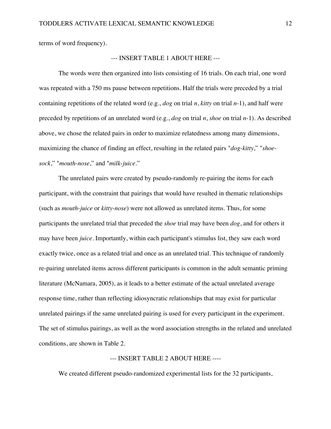terms of word frequency).

# --- INSERT TABLE 1 ABOUT HERE ---

The words were then organized into lists consisting of 16 trials. On each trial, one word was repeated with a 750 ms pause between repetitions. Half the trials were preceded by a trial containing repetitions of the related word (e.g., *dog* on trial *n*, *kitty* on trial *n*-1), and half were preceded by repetitions of an unrelated word (e.g., *dog* on trial *n*, *shoe* on trial *n*-1). As described above, we chose the related pairs in order to maximize relatedness among many dimensions, maximizing the chance of finding an effect, resulting in the related pairs "*dog*-*kitty*," "*shoesock*," "*mouth*-*nose*," and "*milk*-*juice*."

The unrelated pairs were created by pseudo-randomly re-pairing the items for each participant, with the constraint that pairings that would have resulted in thematic relationships (such as *mouth*-*juice* or *kitty*-*nose*) were not allowed as unrelated items. Thus, for some participants the unrelated trial that preceded the *shoe* trial may have been *dog*, and for others it may have been *juice*. Importantly, within each participant's stimulus list, they saw each word exactly twice, once as a related trial and once as an unrelated trial. This technique of randomly re-pairing unrelated items across different participants is common in the adult semantic priming literature (McNamara, 2005), as it leads to a better estimate of the actual unrelated average response time, rather than reflecting idiosyncratic relationships that may exist for particular unrelated pairings if the same unrelated pairing is used for every participant in the experiment. The set of stimulus pairings, as well as the word association strengths in the related and unrelated conditions, are shown in Table 2.

# --- INSERT TABLE 2 ABOUT HERE ----

We created different pseudo-randomized experimental lists for the 32 participants,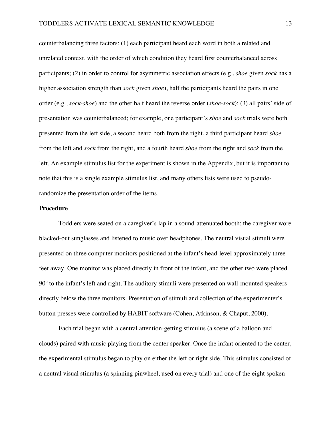counterbalancing three factors: (1) each participant heard each word in both a related and unrelated context, with the order of which condition they heard first counterbalanced across participants; (2) in order to control for asymmetric association effects (e.g., *shoe* given *sock* has a higher association strength than *sock* given *shoe*), half the participants heard the pairs in one order (e.g., *sock*-*shoe*) and the other half heard the reverse order (*shoe*-*sock*); (3) all pairs' side of presentation was counterbalanced; for example, one participant's *shoe* and *sock* trials were both presented from the left side, a second heard both from the right, a third participant heard *shoe* from the left and *sock* from the right, and a fourth heard *shoe* from the right and *sock* from the left. An example stimulus list for the experiment is shown in the Appendix, but it is important to note that this is a single example stimulus list, and many others lists were used to pseudorandomize the presentation order of the items.

# **Procedure**

Toddlers were seated on a caregiver's lap in a sound-attenuated booth; the caregiver wore blacked-out sunglasses and listened to music over headphones. The neutral visual stimuli were presented on three computer monitors positioned at the infant's head-level approximately three feet away. One monitor was placed directly in front of the infant, and the other two were placed 90º to the infant's left and right. The auditory stimuli were presented on wall-mounted speakers directly below the three monitors. Presentation of stimuli and collection of the experimenter's button presses were controlled by HABIT software (Cohen, Atkinson, & Chaput, 2000).

Each trial began with a central attention-getting stimulus (a scene of a balloon and clouds) paired with music playing from the center speaker. Once the infant oriented to the center, the experimental stimulus began to play on either the left or right side. This stimulus consisted of a neutral visual stimulus (a spinning pinwheel, used on every trial) and one of the eight spoken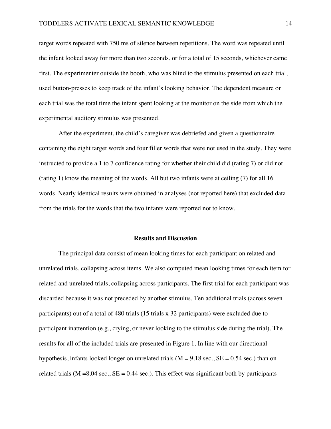target words repeated with 750 ms of silence between repetitions. The word was repeated until the infant looked away for more than two seconds, or for a total of 15 seconds, whichever came first. The experimenter outside the booth, who was blind to the stimulus presented on each trial, used button-presses to keep track of the infant's looking behavior. The dependent measure on each trial was the total time the infant spent looking at the monitor on the side from which the experimental auditory stimulus was presented.

After the experiment, the child's caregiver was debriefed and given a questionnaire containing the eight target words and four filler words that were not used in the study. They were instructed to provide a 1 to 7 confidence rating for whether their child did (rating 7) or did not (rating 1) know the meaning of the words. All but two infants were at ceiling (7) for all 16 words. Nearly identical results were obtained in analyses (not reported here) that excluded data from the trials for the words that the two infants were reported not to know.

#### **Results and Discussion**

The principal data consist of mean looking times for each participant on related and unrelated trials, collapsing across items. We also computed mean looking times for each item for related and unrelated trials, collapsing across participants. The first trial for each participant was discarded because it was not preceded by another stimulus. Ten additional trials (across seven participants) out of a total of 480 trials (15 trials x 32 participants) were excluded due to participant inattention (e.g., crying, or never looking to the stimulus side during the trial). The results for all of the included trials are presented in Figure 1. In line with our directional hypothesis, infants looked longer on unrelated trials  $(M = 9.18 \text{ sec.}, SE = 0.54 \text{ sec.})$  than on related trials ( $M = 8.04$  sec.,  $SE = 0.44$  sec.). This effect was significant both by participants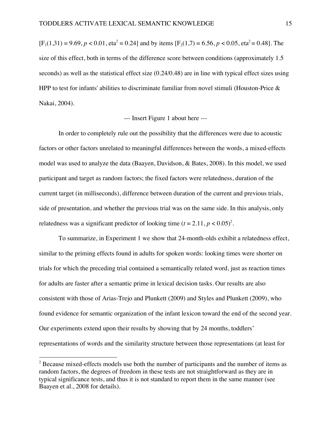$[F_1(1,31) = 9.69, p < 0.01, \text{eta}^2 = 0.24]$  and by items  $[F_2(1,7) = 6.56, p < 0.05, \text{eta}^2 = 0.48]$ . The size of this effect, both in terms of the difference score between conditions (approximately 1.5 seconds) as well as the statistical effect size (0.24/0.48) are in line with typical effect sizes using HPP to test for infants' abilities to discriminate familiar from novel stimuli (Houston-Price  $\&$ Nakai, 2004).

# --- Insert Figure 1 about here ---

In order to completely rule out the possibility that the differences were due to acoustic factors or other factors unrelated to meaningful differences between the words, a mixed-effects model was used to analyze the data (Baayen, Davidson, & Bates, 2008). In this model, we used participant and target as random factors; the fixed factors were relatedness, duration of the current target (in milliseconds), difference between duration of the current and previous trials, side of presentation, and whether the previous trial was on the same side. In this analysis, only relatedness was a significant predictor of looking time  $(t = 2.11, p < 0.05)^2$ .

To summarize, in Experiment 1 we show that 24-month-olds exhibit a relatedness effect, similar to the priming effects found in adults for spoken words: looking times were shorter on trials for which the preceding trial contained a semantically related word, just as reaction times for adults are faster after a semantic prime in lexical decision tasks. Our results are also consistent with those of Arias-Trejo and Plunkett (2009) and Styles and Plunkett (2009), who found evidence for semantic organization of the infant lexicon toward the end of the second year. Our experiments extend upon their results by showing that by 24 months, toddlers' representations of words and the similarity structure between those representations (at least for

 

 $2^2$  Because mixed-effects models use both the number of participants and the number of items as random factors, the degrees of freedom in these tests are not straightforward as they are in typical significance tests, and thus it is not standard to report them in the same manner (see Baayen et al., 2008 for details).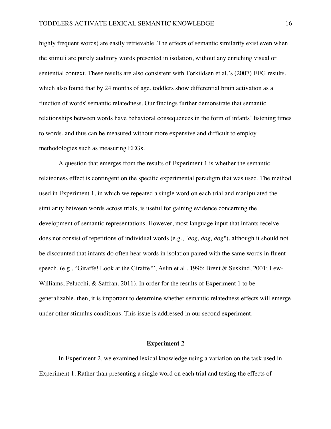highly frequent words) are easily retrievable. The effects of semantic similarity exist even when the stimuli are purely auditory words presented in isolation, without any enriching visual or sentential context. These results are also consistent with Torkildsen et al.'s (2007) EEG results, which also found that by 24 months of age, toddlers show differential brain activation as a function of words' semantic relatedness. Our findings further demonstrate that semantic relationships between words have behavioral consequences in the form of infants' listening times to words, and thus can be measured without more expensive and difficult to employ methodologies such as measuring EEGs.

A question that emerges from the results of Experiment 1 is whether the semantic relatedness effect is contingent on the specific experimental paradigm that was used. The method used in Experiment 1, in which we repeated a single word on each trial and manipulated the similarity between words across trials, is useful for gaining evidence concerning the development of semantic representations. However, most language input that infants receive does not consist of repetitions of individual words (e.g., "*dog, dog, dog*"), although it should not be discounted that infants do often hear words in isolation paired with the same words in fluent speech, (e.g., "Giraffe! Look at the Giraffe!", Aslin et al., 1996; Brent & Suskind, 2001; Lew-Williams, Pelucchi, & Saffran, 2011). In order for the results of Experiment 1 to be generalizable, then, it is important to determine whether semantic relatedness effects will emerge under other stimulus conditions. This issue is addressed in our second experiment.

# **Experiment 2**

In Experiment 2, we examined lexical knowledge using a variation on the task used in Experiment 1. Rather than presenting a single word on each trial and testing the effects of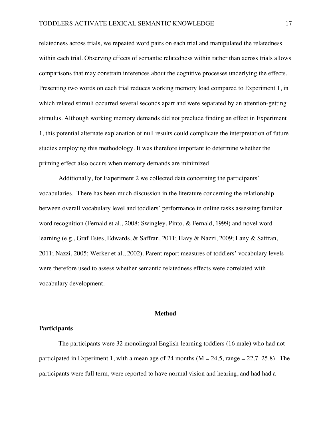relatedness across trials, we repeated word pairs on each trial and manipulated the relatedness within each trial. Observing effects of semantic relatedness within rather than across trials allows comparisons that may constrain inferences about the cognitive processes underlying the effects. Presenting two words on each trial reduces working memory load compared to Experiment 1, in which related stimuli occurred several seconds apart and were separated by an attention-getting stimulus. Although working memory demands did not preclude finding an effect in Experiment 1, this potential alternate explanation of null results could complicate the interpretation of future studies employing this methodology. It was therefore important to determine whether the priming effect also occurs when memory demands are minimized.

Additionally, for Experiment 2 we collected data concerning the participants' vocabularies. There has been much discussion in the literature concerning the relationship between overall vocabulary level and toddlers' performance in online tasks assessing familiar word recognition (Fernald et al., 2008; Swingley, Pinto, & Fernald, 1999) and novel word learning (e.g., Graf Estes, Edwards, & Saffran, 2011; Havy & Nazzi, 2009; Lany & Saffran, 2011; Nazzi, 2005; Werker et al., 2002). Parent report measures of toddlers' vocabulary levels were therefore used to assess whether semantic relatedness effects were correlated with vocabulary development.

#### **Method**

# **Participants**

The participants were 32 monolingual English-learning toddlers (16 male) who had not participated in Experiment 1, with a mean age of 24 months ( $M = 24.5$ , range  $= 22.7 - 25.8$ ). The participants were full term, were reported to have normal vision and hearing, and had had a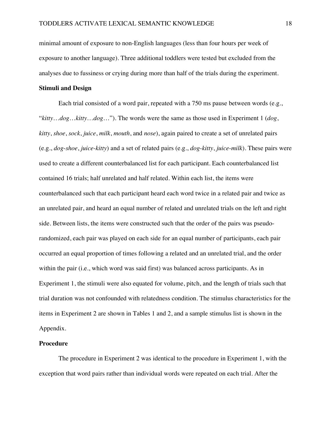minimal amount of exposure to non-English languages (less than four hours per week of exposure to another language). Three additional toddlers were tested but excluded from the analyses due to fussiness or crying during more than half of the trials during the experiment.

# **Stimuli and Design**

Each trial consisted of a word pair, repeated with a 750 ms pause between words (e.g., "*kitty*…*dog*…*kitty*…*dog*…"). The words were the same as those used in Experiment 1 (*dog*, *kitty*, *shoe*, *sock*, *juice*, *milk*, *mouth*, and *nose*), again paired to create a set of unrelated pairs (e.g., *dog*-*shoe*, *juice*-*kitty*) and a set of related pairs (e.g., *dog*-*kitty*, *juice*-*milk*). These pairs were used to create a different counterbalanced list for each participant. Each counterbalanced list contained 16 trials; half unrelated and half related. Within each list, the items were counterbalanced such that each participant heard each word twice in a related pair and twice as an unrelated pair, and heard an equal number of related and unrelated trials on the left and right side. Between lists, the items were constructed such that the order of the pairs was pseudorandomized, each pair was played on each side for an equal number of participants, each pair occurred an equal proportion of times following a related and an unrelated trial, and the order within the pair (i.e., which word was said first) was balanced across participants. As in Experiment 1, the stimuli were also equated for volume, pitch, and the length of trials such that trial duration was not confounded with relatedness condition. The stimulus characteristics for the items in Experiment 2 are shown in Tables 1 and 2, and a sample stimulus list is shown in the Appendix.

# **Procedure**

The procedure in Experiment 2 was identical to the procedure in Experiment 1, with the exception that word pairs rather than individual words were repeated on each trial. After the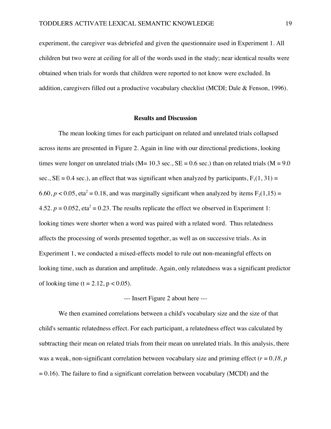experiment, the caregiver was debriefed and given the questionnaire used in Experiment 1. All children but two were at ceiling for all of the words used in the study; near identical results were obtained when trials for words that children were reported to not know were excluded. In addition, caregivers filled out a productive vocabulary checklist (MCDI; Dale & Fenson, 1996).

#### **Results and Discussion**

The mean looking times for each participant on related and unrelated trials collapsed across items are presented in Figure 2. Again in line with our directional predictions, looking times were longer on unrelated trials ( $M= 10.3$  sec.,  $SE = 0.6$  sec.) than on related trials ( $M = 9.0$ sec.,  $SE = 0.4$  sec.), an effect that was significant when analyzed by participants,  $F_1(1, 31) =$ 6.60,  $p < 0.05$ , eta<sup>2</sup> = 0.18, and was marginally significant when analyzed by items  $F_2(1,15)$  = 4.52.  $p = 0.052$ , eta<sup>2</sup> = 0.23. The results replicate the effect we observed in Experiment 1: looking times were shorter when a word was paired with a related word. Thus relatedness affects the processing of words presented together, as well as on successive trials. As in Experiment 1, we conducted a mixed-effects model to rule out non-meaningful effects on looking time, such as duration and amplitude. Again, only relatedness was a significant predictor of looking time (t = 2.12,  $p < 0.05$ ).

# --- Insert Figure 2 about here ---

We then examined correlations between a child's vocabulary size and the size of that child's semantic relatedness effect. For each participant, a relatedness effect was calculated by subtracting their mean on related trials from their mean on unrelated trials. In this analysis, there was a weak, non-significant correlation between vocabulary size and priming effect  $(r = 0.18, p)$  $= 0.16$ ). The failure to find a significant correlation between vocabulary (MCDI) and the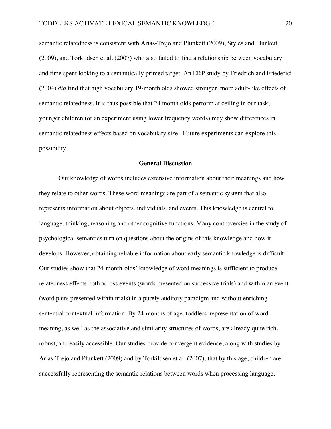semantic relatedness is consistent with Arias-Trejo and Plunkett (2009), Styles and Plunkett (2009), and Torkildsen et al. (2007) who also failed to find a relationship between vocabulary and time spent looking to a semantically primed target. An ERP study by Friedrich and Friederici (2004) *did* find that high vocabulary 19-month olds showed stronger, more adult-like effects of semantic relatedness. It is thus possible that 24 month olds perform at ceiling in our task; younger children (or an experiment using lower frequency words) may show differences in semantic relatedness effects based on vocabulary size. Future experiments can explore this possibility.

#### **General Discussion**

Our knowledge of words includes extensive information about their meanings and how they relate to other words. These word meanings are part of a semantic system that also represents information about objects, individuals, and events. This knowledge is central to language, thinking, reasoning and other cognitive functions. Many controversies in the study of psychological semantics turn on questions about the origins of this knowledge and how it develops. However, obtaining reliable information about early semantic knowledge is difficult. Our studies show that 24-month-olds' knowledge of word meanings is sufficient to produce relatedness effects both across events (words presented on successive trials) and within an event (word pairs presented within trials) in a purely auditory paradigm and without enriching sentential contextual information. By 24-months of age, toddlers' representation of word meaning, as well as the associative and similarity structures of words, are already quite rich, robust, and easily accessible. Our studies provide convergent evidence, along with studies by Arias-Trejo and Plunkett (2009) and by Torkildsen et al. (2007), that by this age, children are successfully representing the semantic relations between words when processing language.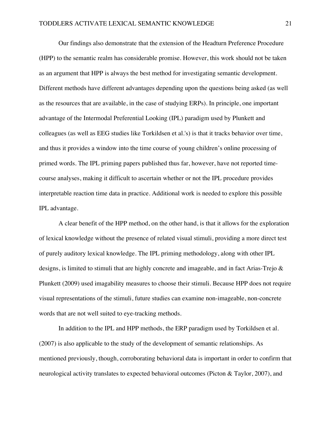Our findings also demonstrate that the extension of the Headturn Preference Procedure (HPP) to the semantic realm has considerable promise. However, this work should not be taken as an argument that HPP is always the best method for investigating semantic development. Different methods have different advantages depending upon the questions being asked (as well as the resources that are available, in the case of studying ERPs). In principle, one important advantage of the Intermodal Preferential Looking (IPL) paradigm used by Plunkett and colleagues (as well as EEG studies like Torkildsen et al.'s) is that it tracks behavior over time, and thus it provides a window into the time course of young children's online processing of primed words. The IPL priming papers published thus far, however, have not reported timecourse analyses, making it difficult to ascertain whether or not the IPL procedure provides interpretable reaction time data in practice. Additional work is needed to explore this possible IPL advantage.

A clear benefit of the HPP method, on the other hand, is that it allows for the exploration of lexical knowledge without the presence of related visual stimuli, providing a more direct test of purely auditory lexical knowledge. The IPL priming methodology, along with other IPL designs, is limited to stimuli that are highly concrete and imageable, and in fact Arias-Trejo & Plunkett (2009) used imagability measures to choose their stimuli. Because HPP does not require visual representations of the stimuli, future studies can examine non-imageable, non-concrete words that are not well suited to eye-tracking methods.

In addition to the IPL and HPP methods, the ERP paradigm used by Torkildsen et al. (2007) is also applicable to the study of the development of semantic relationships. As mentioned previously, though, corroborating behavioral data is important in order to confirm that neurological activity translates to expected behavioral outcomes (Picton & Taylor, 2007), and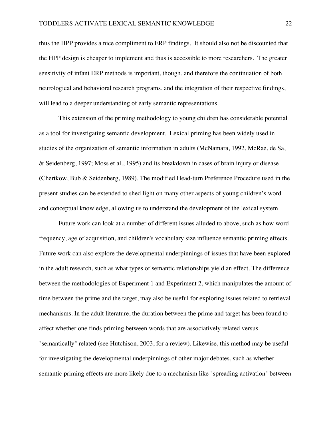thus the HPP provides a nice compliment to ERP findings. It should also not be discounted that the HPP design is cheaper to implement and thus is accessible to more researchers. The greater sensitivity of infant ERP methods is important, though, and therefore the continuation of both neurological and behavioral research programs, and the integration of their respective findings, will lead to a deeper understanding of early semantic representations.

This extension of the priming methodology to young children has considerable potential as a tool for investigating semantic development. Lexical priming has been widely used in studies of the organization of semantic information in adults (McNamara, 1992, McRae, de Sa, & Seidenberg, 1997; Moss et al., 1995) and its breakdown in cases of brain injury or disease (Chertkow, Bub & Seidenberg, 1989). The modified Head-turn Preference Procedure used in the present studies can be extended to shed light on many other aspects of young children's word and conceptual knowledge, allowing us to understand the development of the lexical system.

Future work can look at a number of different issues alluded to above, such as how word frequency, age of acquisition, and children's vocabulary size influence semantic priming effects. Future work can also explore the developmental underpinnings of issues that have been explored in the adult research, such as what types of semantic relationships yield an effect. The difference between the methodologies of Experiment 1 and Experiment 2, which manipulates the amount of time between the prime and the target, may also be useful for exploring issues related to retrieval mechanisms. In the adult literature, the duration between the prime and target has been found to affect whether one finds priming between words that are associatively related versus "semantically" related (see Hutchison, 2003, for a review). Likewise, this method may be useful for investigating the developmental underpinnings of other major debates, such as whether semantic priming effects are more likely due to a mechanism like "spreading activation" between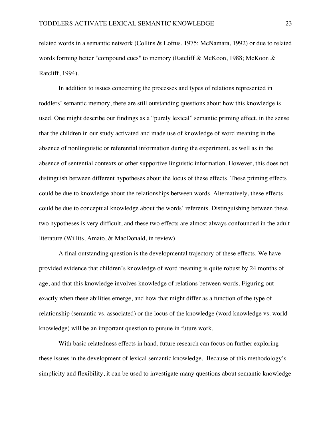related words in a semantic network (Collins & Loftus, 1975; McNamara, 1992) or due to related words forming better "compound cues" to memory (Ratcliff & McKoon, 1988; McKoon & Ratcliff, 1994).

In addition to issues concerning the processes and types of relations represented in toddlers' semantic memory, there are still outstanding questions about how this knowledge is used. One might describe our findings as a "purely lexical" semantic priming effect, in the sense that the children in our study activated and made use of knowledge of word meaning in the absence of nonlinguistic or referential information during the experiment, as well as in the absence of sentential contexts or other supportive linguistic information. However, this does not distinguish between different hypotheses about the locus of these effects. These priming effects could be due to knowledge about the relationships between words. Alternatively, these effects could be due to conceptual knowledge about the words' referents. Distinguishing between these two hypotheses is very difficult, and these two effects are almost always confounded in the adult literature (Willits, Amato, & MacDonald, in review).

A final outstanding question is the developmental trajectory of these effects. We have provided evidence that children's knowledge of word meaning is quite robust by 24 months of age, and that this knowledge involves knowledge of relations between words. Figuring out exactly when these abilities emerge, and how that might differ as a function of the type of relationship (semantic vs. associated) or the locus of the knowledge (word knowledge vs. world knowledge) will be an important question to pursue in future work.

With basic relatedness effects in hand, future research can focus on further exploring these issues in the development of lexical semantic knowledge. Because of this methodology's simplicity and flexibility, it can be used to investigate many questions about semantic knowledge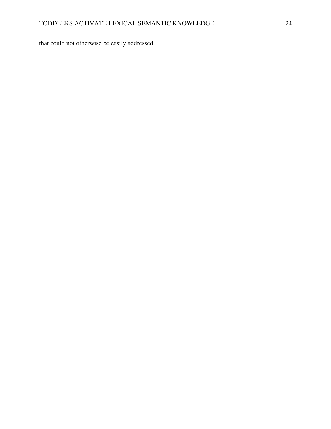that could not otherwise be easily addressed.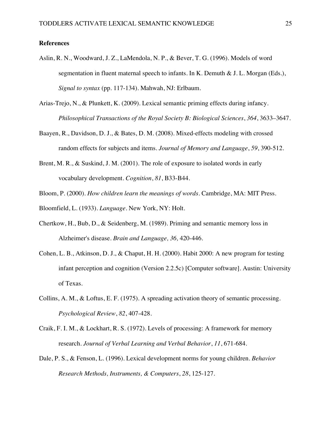# **References**

- Aslin, R. N., Woodward, J. Z., LaMendola, N. P., & Bever, T. G. (1996). Models of word segmentation in fluent maternal speech to infants. In K. Demuth & J. L. Morgan (Eds.), *Signal to syntax* (pp. 117-134). Mahwah, NJ: Erlbaum.
- Arias-Trejo, N., & Plunkett, K. (2009). Lexical semantic priming effects during infancy. *Philosophical Transactions of the Royal Society B: Biological Sciences*, *364*, 3633–3647.
- Baayen, R., Davidson, D. J., & Bates, D. M. (2008). Mixed-effects modeling with crossed random effects for subjects and items. *Journal of Memory and Language*, *59*, 390-512.
- Brent, M. R., & Suskind, J. M. (2001). The role of exposure to isolated words in early vocabulary development. *Cognition*, *81*, B33-B44.
- Bloom, P. (2000). *How children learn the meanings of words*. Cambridge, MA: MIT Press.
- Bloomfield, L. (1933). *Language*. New York, NY: Holt.
- Chertkow, H., Bub, D., & Seidenberg, M. (1989). Priming and semantic memory loss in Alzheimer's disease. *Brain and Language, 36,* 420-446.
- Cohen, L. B., Atkinson, D. J., & Chaput, H. H. (2000). Habit 2000: A new program for testing infant perception and cognition (Version 2.2.5c) [Computer software]. Austin: University of Texas.
- Collins, A. M., & Loftus, E. F. (1975). A spreading activation theory of semantic processing. *Psychological Review*, *82*, 407-428.
- Craik, F. I. M., & Lockhart, R. S. (1972). Levels of processing: A framework for memory research. *Journal of Verbal Learning and Verbal Behavior*, *11*, 671-684.
- Dale, P. S., & Fenson, L. (1996). Lexical development norms for young children. *Behavior Research Methods, Instruments, & Computers*, *28*, 125-127.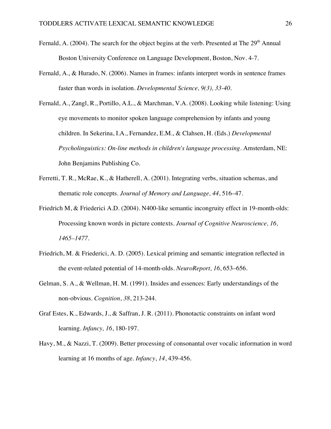- Fernald, A. (2004). The search for the object begins at the verb. Presented at The  $29<sup>th</sup>$  Annual Boston University Conference on Language Development, Boston, Nov. 4-7.
- Fernald, A., & Hurado, N. (2006). Names in frames: infants interpret words in sentence frames faster than words in isolation. *Developmental Science, 9(3), 33-40.*
- Fernald, A., Zangl, R., Portillo, A.L., & Marchman, V.A. (2008). Looking while listening: Using eye movements to monitor spoken language comprehension by infants and young children. In Sekerina, I.A., Fernandez, E.M., & Clahsen, H. (Eds.) *Developmental Psycholinguistics: On-line methods in children's language processing*. Amsterdam, NE: John Benjamins Publishing Co.
- Ferretti, T. R., McRae, K., & Hatherell, A. (2001). Integrating verbs, situation schemas, and thematic role concepts. *Journal of Memory and Language, 44*, 516–47.
- Friedrich M, & Friederici A.D. (2004). N400-like semantic incongruity effect in 19-month-olds: Processing known words in picture contexts. *Journal of Cognitive Neuroscience, 16, 1465–1477.*
- Friedrich, M. & Friederici, A. D. (2005). Lexical priming and semantic integration reflected in the event-related potential of 14-month-olds. *NeuroReport, 16*, 653–656.
- Gelman, S. A., & Wellman, H. M. (1991). Insides and essences: Early understandings of the non-obvious. *Cognition*, *38*, 213-244.
- Graf Estes, K., Edwards, J., & Saffran, J. R. (2011). Phonotactic constraints on infant word learning. *Infancy, 16*, 180-197.
- Havy, M., & Nazzi, T. (2009). Better processing of consonantal over vocalic information in word learning at 16 months of age. *Infancy*, *14*, 439-456.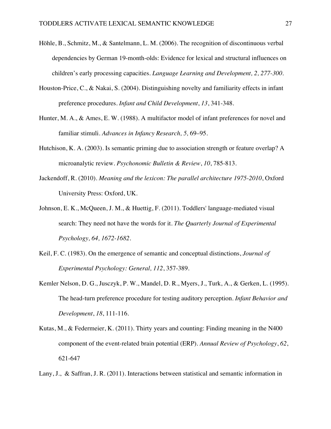- Höhle, B., Schmitz, M., & Santelmann, L. M. (2006). The recognition of discontinuous verbal dependencies by German 19-month-olds: Evidence for lexical and structural influences on children's early processing capacities. *Language Learning and Development, 2, 277-300.*
- Houston-Price, C., & Nakai, S. (2004). Distinguishing novelty and familiarity effects in infant preference procedures. *Infant and Child Development*, *13*, 341-348.
- Hunter, M. A., & Ames, E. W. (1988). A multifactor model of infant preferences for novel and familiar stimuli. *Advances in Infancy Research, 5,* 69–95.
- Hutchison, K. A. (2003). Is semantic priming due to association strength or feature overlap? A microanalytic review. *Psychonomic Bulletin & Review*, *10*, 785-813.
- Jackendoff, R. (2010). *Meaning and the lexicon: The parallel architecture 1975-2010*, Oxford University Press: Oxford, UK.
- Johnson, E. K., McQueen, J. M., & Huettig, F. (2011). Toddlers' language-mediated visual search: They need not have the words for it. *The Quarterly Journal of Experimental Psychology, 64, 1672-1682.*
- Keil, F. C. (1983). On the emergence of semantic and conceptual distinctions, *Journal of Experimental Psychology: General, 112*, 357-389.
- Kemler Nelson, D. G., Jusczyk, P. W., Mandel, D. R., Myers, J., Turk, A., & Gerken, L. (1995). The head-turn preference procedure for testing auditory perception. *Infant Behavior and Development*, *18*, 111-116.
- Kutas, M., & Federmeier, K. (2011). Thirty years and counting: Finding meaning in the N400 component of the event-related brain potential (ERP). *Annual Review of Psychology*, *62*, 621-647
- Lany, J.,& Saffran, J. R. (2011). Interactions between statistical and semantic information in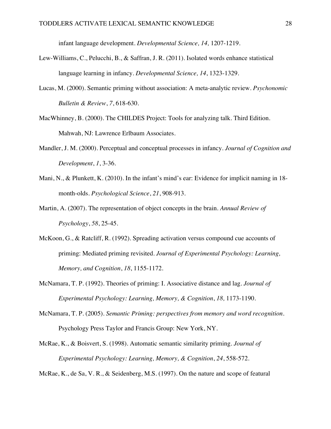infant language development. *Developmental Science, 14,* 1207-1219.

- Lew-Williams, C., Pelucchi, B., & Saffran, J. R. (2011). Isolated words enhance statistical language learning in infancy. *Developmental Science, 14*, 1323-1329*.*
- Lucas, M. (2000). Semantic priming without association: A meta-analytic review. *Psychonomic Bulletin & Review*, *7*, 618-630.
- MacWhinney, B. (2000). The CHILDES Project: Tools for analyzing talk. Third Edition. Mahwah, NJ: Lawrence Erlbaum Associates.
- Mandler, J. M. (2000). Perceptual and conceptual processes in infancy. *Journal of Cognition and Development*, *1*, 3-36.
- Mani, N., & Plunkett, K. (2010). In the infant's mind's ear: Evidence for implicit naming in 18 month-olds. *Psychological Science*, *21*, 908-913.
- Martin, A. (2007). The representation of object concepts in the brain. *Annual Review of Psychology*, *58*, 25-45.
- McKoon, G., & Ratcliff, R. (1992). Spreading activation versus compound cue accounts of priming: Mediated priming revisited. *Journal of Experimental Psychology: Learning, Memory, and Cognition*, *18*, 1155-1172.
- McNamara, T. P. (1992). Theories of priming: I. Associative distance and lag. *Journal of Experimental Psychology: Learning, Memory, & Cognition*, *18,* 1173-1190.
- McNamara, T. P. (2005). *Semantic Priming: perspectives from memory and word recognition.* Psychology Press Taylor and Francis Group: New York, NY.
- McRae, K., & Boisvert, S. (1998). Automatic semantic similarity priming. *Journal of Experimental Psychology: Learning, Memory, & Cognition*, *24*, 558-572.

McRae, K., de Sa, V. R., & Seidenberg, M.S. (1997). On the nature and scope of featural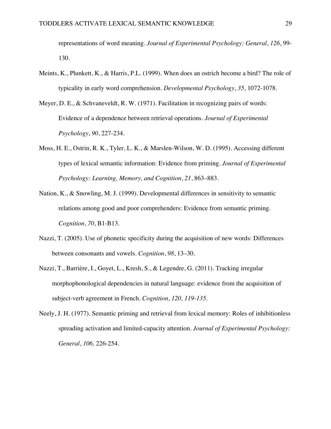representations of word meaning. *Journal of Experimental Psychology: General*, *126*, 99- 130.

- Meints, K., Plunkett, K., & Harris, P.L. (1999). When does an ostrich become a bird? The role of typicality in early word comprehension. *Developmental Psychology*, *35*, 1072-1078.
- Meyer, D. E., & Schvaneveldt, R. W. (1971). Facilitation in recognizing pairs of words: Evidence of a dependence between retrieval operations. *Journal of Experimental Psychology*, *90*, 227-234.
- Moss, H. E., Ostrin, R. K., Tyler, L. K., & Marslen-Wilson, W. D. (1995). Accessing different types of lexical semantic information: Evidence from priming. *Journal of Experimental Psychology: Learning, Memory, and Cognition*, *21*, 863–883.
- Nation, K., & Snowling, M. J. (1999). Developmental differences in sensitivity to semantic relations among good and poor comprehenders: Evidence from semantic priming. *Cognition*, *70*, B1-B13.
- Nazzi, T. (2005). Use of phonetic specificity during the acquisition of new words: Differences between consonants and vowels. *Cognition*, *98*, 13–30.
- Nazzi, T., Barrière, I., Goyet, L., Kresh, S., & Legendre, G. (2011). Tracking irregular morphophonological dependencies in natural language: evidence from the acquisition of subject-verb agreement in French. *Cognition*, *120, 119-135.*
- Neely, J. H. (1977). Semantic priming and retrieval from lexical memory: Roles of inhibitionless spreading activation and limited-capacity attention. *Journal of Experimental Psychology: General*, *106,* 226-254.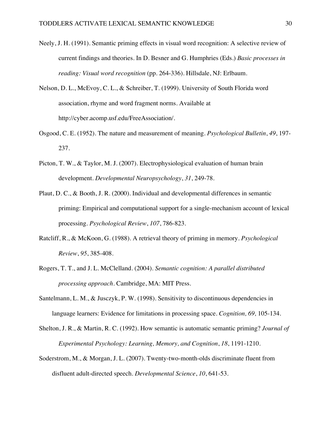- Neely, J. H. (1991). Semantic priming effects in visual word recognition: A selective review of current findings and theories. In D. Besner and G. Humphries (Eds.) *Basic processes in reading: Visual word recognition* (pp. 264-336). Hillsdale, NJ: Erlbaum.
- Nelson, D. L., McEvoy, C. L., & Schreiber, T. (1999). University of South Florida word association, rhyme and word fragment norms. Available at http://cyber.acomp.usf.edu/FreeAssociation/.
- Osgood, C. E. (1952). The nature and measurement of meaning. *Psychological Bulletin*, *49*, 197- 237.
- Picton, T. W., & Taylor, M. J. (2007). Electrophysiological evaluation of human brain development. *Developmental Neuropsychology*, *31*, 249-78.
- Plaut, D. C., & Booth, J. R. (2000). Individual and developmental differences in semantic priming: Empirical and computational support for a single-mechanism account of lexical processing. *Psychological Review*, *107*, 786-823.
- Ratcliff, R., & McKoon, G. (1988). A retrieval theory of priming in memory. *Psychological Review*, *95*, 385-408.
- Rogers, T. T., and J. L. McClelland. (2004). *Semantic cognition: A parallel distributed processing approach*. Cambridge, MA: MIT Press.
- Santelmann, L. M., & Jusczyk, P. W. (1998). Sensitivity to discontinuous dependencies in language learners: Evidence for limitations in processing space. *Cognition, 69,* 105-134*.*
- Shelton, J. R., & Martin, R. C. (1992). How semantic is automatic semantic priming? *Journal of Experimental Psychology: Learning, Memory, and Cognition*, *18*, 1191-1210.
- Soderstrom, M., & Morgan, J. L. (2007). Twenty-two-month-olds discriminate fluent from disfluent adult-directed speech. *Developmental Science*, *10*, 641-53.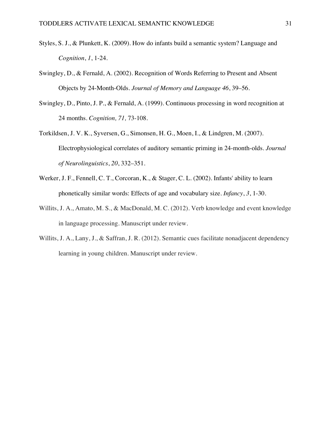- Styles, S. J., & Plunkett, K. (2009). How do infants build a semantic system? Language and *Cognition*, *1*, 1-24.
- Swingley, D., & Fernald, A. (2002). Recognition of Words Referring to Present and Absent Objects by 24-Month-Olds. *Journal of Memory and Language 46*, 39–56.
- Swingley, D., Pinto, J. P., & Fernald, A. (1999). Continuous processing in word recognition at 24 months. *Cognition, 71,* 73-108.
- Torkildsen, J. V. K., Syversen, G., Simonsen, H. G., Moen, I., & Lindgren, M. (2007). Electrophysiological correlates of auditory semantic priming in 24-month-olds. *Journal of Neurolinguistics*, *20*, 332–351.
- Werker, J. F., Fennell, C. T., Corcoran, K., & Stager, C. L. (2002). Infants' ability to learn phonetically similar words: Effects of age and vocabulary size. *Infancy*, *3*, 1-30.
- Willits, J. A., Amato, M. S., & MacDonald, M. C. (2012). Verb knowledge and event knowledge in language processing. Manuscript under review.
- Willits, J. A., Lany, J., & Saffran, J. R. (2012). Semantic cues facilitate nonadjacent dependency learning in young children. Manuscript under review.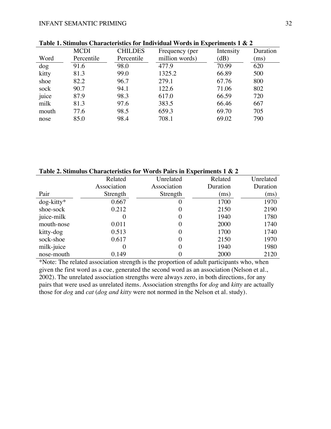|        | <b>MCDI</b> | <b>CHILDES</b> | Frequency (per | Intensity | Duration |  |
|--------|-------------|----------------|----------------|-----------|----------|--|
| Word   | Percentile  | Percentile     | million words) | (dB)      | (ms)     |  |
| $\log$ | 91.6        | 98.0           | 477.9          | 70.99     | 620      |  |
| kitty  | 81.3        | 99.0           | 1325.2         | 66.89     | 500      |  |
| shoe   | 82.2        | 96.7           | 279.1          | 67.76     | 800      |  |
| sock   | 90.7        | 94.1           | 122.6          | 71.06     | 802      |  |
| juice  | 87.9        | 98.3           | 617.0          | 66.59     | 720      |  |
| milk   | 81.3        | 97.6           | 383.5          | 66.46     | 667      |  |
| mouth  | 77.6        | 98.5           | 659.3          | 69.70     | 705      |  |
| nose   | 85.0        | 98.4           | 708.1          | 69.02     | 790      |  |
|        |             |                |                |           |          |  |

**Table 1. Stimulus Characteristics for Individual Words in Experiments 1 & 2**

**Table 2. Stimulus Characteristics for Words Pairs in Experiments 1 & 2**

|               | Related     | Unrelated   | Related  | Unrelated |
|---------------|-------------|-------------|----------|-----------|
|               | Association | Association | Duration | Duration  |
| Pair          | Strength    | Strength    | (ms)     | (ms)      |
| $dog$ -kitty* | 0.667       | $\theta$    | 1700     | 1970      |
| shoe-sock     | 0.212       | 0           | 2150     | 2190      |
| juice-milk    | $\theta$    | $\theta$    | 1940     | 1780      |
| mouth-nose    | 0.011       | $\theta$    | 2000     | 1740      |
| kitty-dog     | 0.513       | 0           | 1700     | 1740      |
| sock-shoe     | 0.617       | $\theta$    | 2150     | 1970      |
| milk-juice    | 0           | 0           | 1940     | 1980      |
| nose-mouth    | 0.149       | 0           | 2000     | 2120      |

\*Note: The related association strength is the proportion of adult participants who, when given the first word as a cue, generated the second word as an association (Nelson et al., 2002). The unrelated association strengths were always zero, in both directions, for any pairs that were used as unrelated items. Association strengths for *dog* and *kitty* are actually those for *dog* and *cat* (*dog and kitty* were not normed in the Nelson et al. study).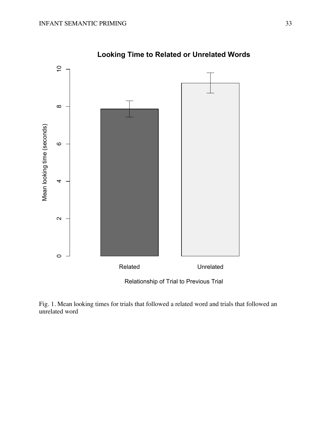

**Looking Time to Related or Unrelated Words**

Fig. 1. Mean looking times for trials that followed a related word and trials that followed an unrelated word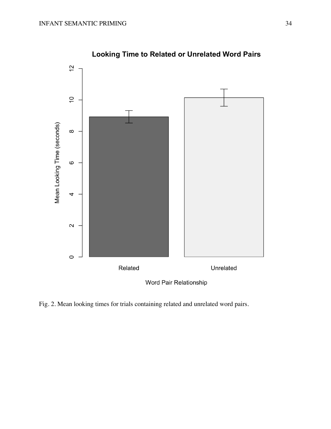

**Looking Time to Related or Unrelated Word Pairs** 

Fig. 2. Mean looking times for trials containing related and unrelated word pairs.